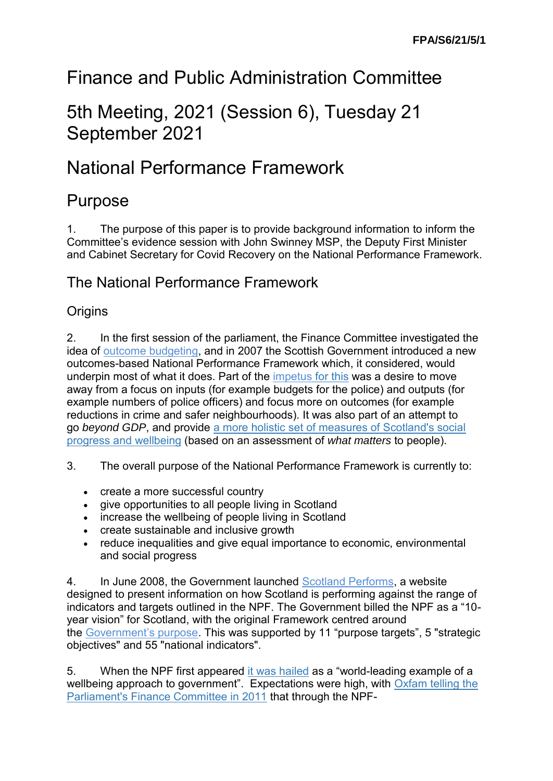# Finance and Public Administration Committee

# 5th Meeting, 2021 (Session 6), Tuesday 21 September 2021

# National Performance Framework

## Purpose

1. The purpose of this paper is to provide background information to inform the Committee's evidence session with John Swinney MSP, the Deputy First Minister and Cabinet Secretary for Covid Recovery on the National Performance Framework.

## The National Performance Framework

#### **Origins**

2. In the first session of the parliament, the Finance Committee investigated the idea of [outcome budgeting,](https://archive.scottish.parliament.uk/business/committees/historic/finance/reports-02/fir02-mob-02.htm#P1655_140682) and in 2007 the Scottish Government introduced a new outcomes-based National Performance Framework which, it considered, would underpin most of what it does. Part of the [impetus](https://archive2021.parliament.scot/ResearchBriefingsAndFactsheets/S4/SB_12-12.pdf) for this was a desire to move away from a focus on inputs (for example budgets for the police) and outputs (for example numbers of police officers) and focus more on outcomes (for example reductions in crime and safer neighbourhoods). It was also part of an attempt to go *beyond GDP*, and provide [a more holistic set of measures of Scotland's social](https://spice-spotlight.scot/2018/04/16/guest-blog-the-national-performance-framework/)  [progress and wellbeing](https://spice-spotlight.scot/2018/04/16/guest-blog-the-national-performance-framework/) (based on an assessment of *what matters* to people).

- 3. The overall purpose of the National Performance Framework is currently to:
	- create a more successful country
	- give opportunities to all people living in Scotland
	- increase the wellbeing of people living in Scotland
	- create sustainable and inclusive growth
	- reduce inequalities and give equal importance to economic, environmental and social progress

4. In June 2008, the Government launched [Scotland Performs,](https://www2.gov.scot/About/Performance/scotPerforms) a website designed to present information on how Scotland is performing against the range of indicators and targets outlined in the NPF. The Government billed the NPF as a "10 year vision" for Scotland, with the original Framework centred around the [Government's purpose.](https://www2.gov.scot/About/Performance/scotPerforms/purpose) This was supported by 11 "purpose targets", 5 "strategic objectives" and 55 "national indicators".

5. When the NPF first appeared [it was hailed](https://www.alliance4usefulevidence.org/assets/AfUE-The-Scottish-Approach-to-Evidence-v7-1.pdf) as a "world-leading example of a wellbeing approach to government". Expectations were high, with Oxfam telling the [Parliament's Finance Committee in 2011](https://www.parliament.scot/S4_FinanceCommittee/Inquiries/OxfamScotland.pdf) that through the NPF-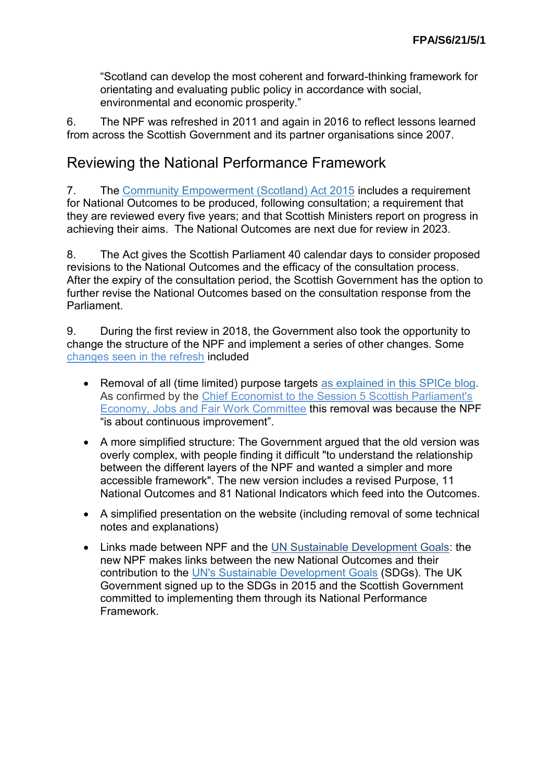"Scotland can develop the most coherent and forward-thinking framework for orientating and evaluating public policy in accordance with social, environmental and economic prosperity."

6. The NPF was refreshed in 2011 and again in 2016 to reflect lessons learned from across the Scottish Government and its partner organisations since 2007.

## Reviewing the National Performance Framework

7. The [Community Empowerment \(Scotland\) Act 2015](https://www.legislation.gov.uk/asp/2015/6/contents) includes a requirement for National Outcomes to be produced, following consultation; a requirement that they are reviewed every five years; and that Scottish Ministers report on progress in achieving their aims. The National Outcomes are next due for review in 2023.

8. The Act gives the Scottish Parliament 40 calendar days to consider proposed revisions to the National Outcomes and the efficacy of the consultation process. After the expiry of the consultation period, the Scottish Government has the option to further revise the National Outcomes based on the consultation response from the Parliament.

9. During the first review in 2018, the Government also took the opportunity to change the structure of the NPF and implement a series of other changes. Some [changes seen in the refresh](https://digitalpublications.parliament.scot/ResearchBriefings/Report/2019/6/21/The-National-Performance-Framework-and-budget-scrutiny-2) included

- Removal of all (time limited) purpose targets [as explained in this SPICe blog.](https://spice-spotlight.scot/2019/06/07/linking-budgets-to-outcomes-the-impossible-dream/) As confirmed by the [Chief Economist to the Session 5 Scottish Parliament's](http://archive2021.parliament.scot/parliamentarybusiness/report.aspx?r=11496)  [Economy, Jobs and Fair Work Committee](http://archive2021.parliament.scot/parliamentarybusiness/report.aspx?r=11496) this removal was because the NPF "is about continuous improvement".
- A more simplified structure: The Government argued that the old version was overly complex, with people finding it difficult "to understand the relationship between the different layers of the NPF and wanted a simpler and more accessible framework". The new version includes a revised Purpose, 11 National Outcomes and 81 National Indicators which feed into the Outcomes.
- A simplified presentation on the website (including removal of some technical notes and explanations)
- Links made between NPF and the [UN Sustainable Development Goals:](https://nationalperformance.gov.scot/sustainable-development-goals) the new NPF makes links between the new National Outcomes and their contribution to the [UN's Sustainable Development Goals](https://sustainabledevelopment.un.org/post2015/transformingourworld) (SDGs). The UK Government signed up to the SDGs in 2015 and the Scottish Government committed to implementing them through its National Performance Framework.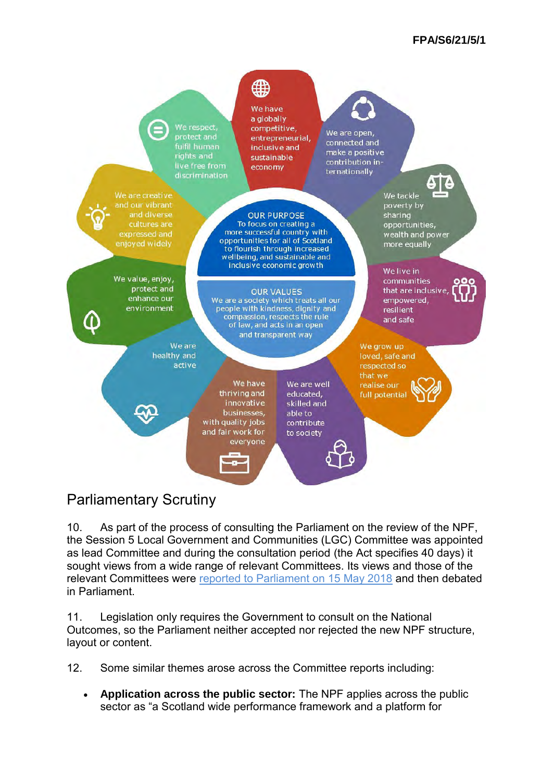

## Parliamentary Scrutiny

10. As part of the process of consulting the Parliament on the review of the NPF, the Session 5 Local Government and Communities (LGC) Committee was appointed as lead Committee and during the consultation period (the Act specifies 40 days) it sought views from a wide range of relevant Committees. Its views and those of the relevant Committees were [reported to Parliament on 15 May 2018](https://sp-bpr-en-prod-cdnep.azureedge.net/published/LGC/2018/5/15/Report-on-the-Consultation-on-the-Scottish-Government-s-Draft-National-Outcomes/LGCS052018R7.pdf) and then debated in Parliament.

11. Legislation only requires the Government to consult on the National Outcomes, so the Parliament neither accepted nor rejected the new NPF structure, layout or content.

12. Some similar themes arose across the Committee reports including:

• **Application across the public sector:** The NPF applies across the public sector as "a Scotland wide performance framework and a platform for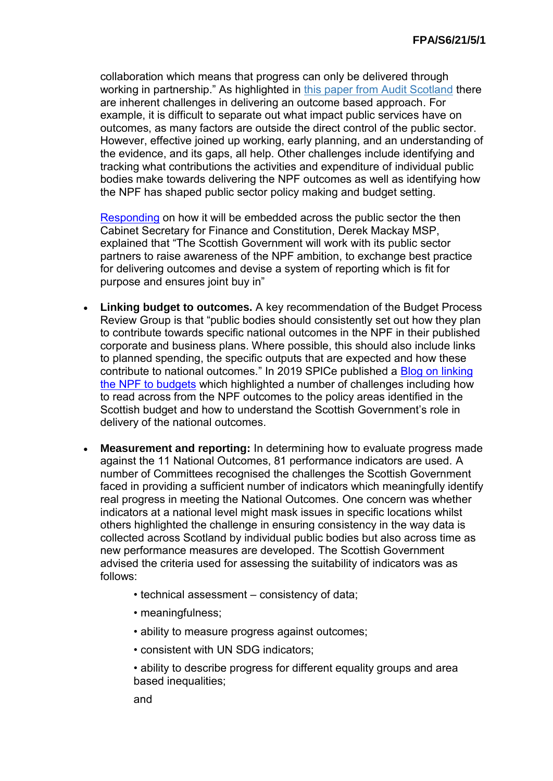collaboration which means that progress can only be delivered through working in partnership." As highlighted in [this paper from Audit Scotland](https://www.audit-scotland.gov.uk/uploads/docs/report/2019/briefing_190603_planning_outcomes.pdf) there are inherent challenges in delivering an outcome based approach. For example, it is difficult to separate out what impact public services have on outcomes, as many factors are outside the direct control of the public sector. However, effective joined up working, early planning, and an understanding of the evidence, and its gaps, all help. Other challenges include identifying and tracking what contributions the activities and expenditure of individual public bodies make towards delivering the NPF outcomes as well as identifying how the NPF has shaped public sector policy making and budget setting.

[Responding](https://archive2021.parliament.scot/S5_Local_Gov/Inquiries/20180611_CabSecFCToConvener.pdf) on how it will be embedded across the public sector the then Cabinet Secretary for Finance and Constitution, Derek Mackay MSP, explained that "The Scottish Government will work with its public sector partners to raise awareness of the NPF ambition, to exchange best practice for delivering outcomes and devise a system of reporting which is fit for purpose and ensures joint buy in"

- **Linking budget to outcomes.** A key recommendation of the Budget Process Review Group is that "public bodies should consistently set out how they plan to contribute towards specific national outcomes in the NPF in their published corporate and business plans. Where possible, this should also include links to planned spending, the specific outputs that are expected and how these contribute to national outcomes." In 2019 SPICe published a [Blog on linking](https://spice-spotlight.scot/2019/06/07/linking-budgets-to-outcomes-the-impossible-dream/)  [the NPF to budgets](https://spice-spotlight.scot/2019/06/07/linking-budgets-to-outcomes-the-impossible-dream/) which highlighted a number of challenges including how to read across from the NPF outcomes to the policy areas identified in the Scottish budget and how to understand the Scottish Government's role in delivery of the national outcomes.
- **Measurement and reporting:** In determining how to evaluate progress made against the 11 National Outcomes, 81 performance indicators are used. A number of Committees recognised the challenges the Scottish Government faced in providing a sufficient number of indicators which meaningfully identify real progress in meeting the National Outcomes. One concern was whether indicators at a national level might mask issues in specific locations whilst others highlighted the challenge in ensuring consistency in the way data is collected across Scotland by individual public bodies but also across time as new performance measures are developed. The Scottish Government advised the criteria used for assessing the suitability of indicators was as follows:
	- technical assessment consistency of data;
	- meaningfulness;
	- ability to measure progress against outcomes;
	- consistent with UN SDG indicators;
	- ability to describe progress for different equality groups and area based inequalities;

and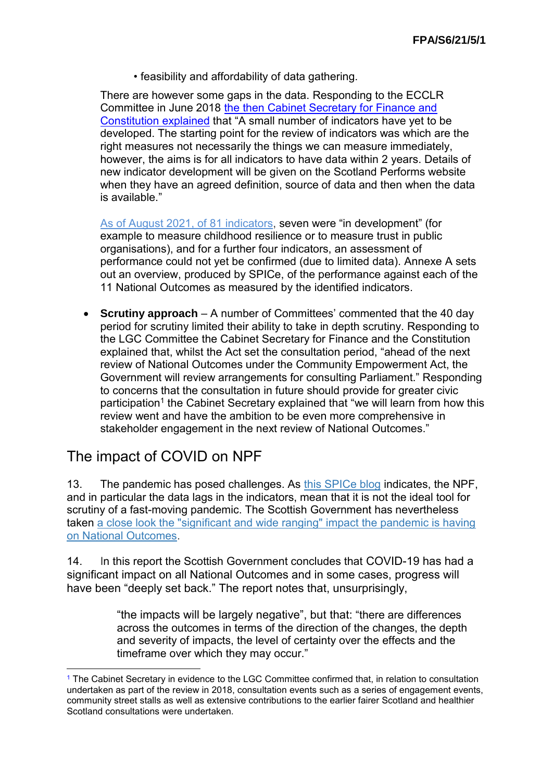• feasibility and affordability of data gathering.

There are however some gaps in the data. Responding to the ECCLR Committee in June 2018 [the then Cabinet Secretary](https://archive2021.parliament.scot/S5_Environment/Inquiries/20180608_Ltr_from_Cab_SEC_FCC_to_GD_re_NPF_response.pdf) for Finance and [Constitution](https://archive2021.parliament.scot/S5_Environment/Inquiries/20180608_Ltr_from_Cab_SEC_FCC_to_GD_re_NPF_response.pdf) explained that "A small number of indicators have yet to be developed. The starting point for the review of indicators was which are the right measures not necessarily the things we can measure immediately, however, the aims is for all indicators to have data within 2 years. Details of new indicator development will be given on the Scotland Performs website when they have an agreed definition, source of data and then when the data is available."

[As of August 2021, of](https://nationalperformance.gov.scot/index.php/measuring-progress/performance-overview) 81 indicators, seven were "in development" (for example to measure childhood resilience or to measure trust in public organisations), and for a further four indicators, an assessment of performance could not yet be confirmed (due to limited data). Annexe A sets out an overview, produced by SPICe, of the performance against each of the 11 National Outcomes as measured by the identified indicators.

• **Scrutiny approach** – A number of Committees' commented that the 40 day period for scrutiny limited their ability to take in depth scrutiny. Responding to the LGC Committee the Cabinet Secretary for Finance and the Constitution explained that, whilst the Act set the consultation period, "ahead of the next review of National Outcomes under the Community Empowerment Act, the Government will review arrangements for consulting Parliament." Responding to concerns that the consultation in future should provide for greater civic participation<sup>1</sup> the Cabinet Secretary explained that "we will learn from how this review went and have the ambition to be even more comprehensive in stakeholder engagement in the next review of National Outcomes."

## The impact of COVID on NPF

-

13. The pandemic has posed challenges. As [this SPICe blog](https://spice-spotlight.scot/2021/01/18/covid-19-how-has-the-pandemic-affected-the-national-outcomes/) indicates, the NPF, and in particular the data lags in the indicators, mean that it is not the ideal tool for scrutiny of a fast-moving pandemic. The Scottish Government has nevertheless taken [a close look the "significant and wide ranging" impact the pandemic is having](https://nationalperformance.gov.scot/scotlands-wellbeing-impact-covid-19-summary)  [on National Outcomes.](https://nationalperformance.gov.scot/scotlands-wellbeing-impact-covid-19-summary)

14. In this report the Scottish Government concludes that COVID-19 has had a significant impact on all National Outcomes and in some cases, progress will have been "deeply set back." The report notes that, unsurprisingly,

> "the impacts will be largely negative", but that: "there are differences across the outcomes in terms of the direction of the changes, the depth and severity of impacts, the level of certainty over the effects and the timeframe over which they may occur."

<sup>1</sup> The Cabinet Secretary in evidence to the LGC Committee confirmed that, in relation to consultation undertaken as part of the review in 2018, consultation events such as a series of engagement events, community street stalls as well as extensive contributions to the earlier fairer Scotland and healthier Scotland consultations were undertaken.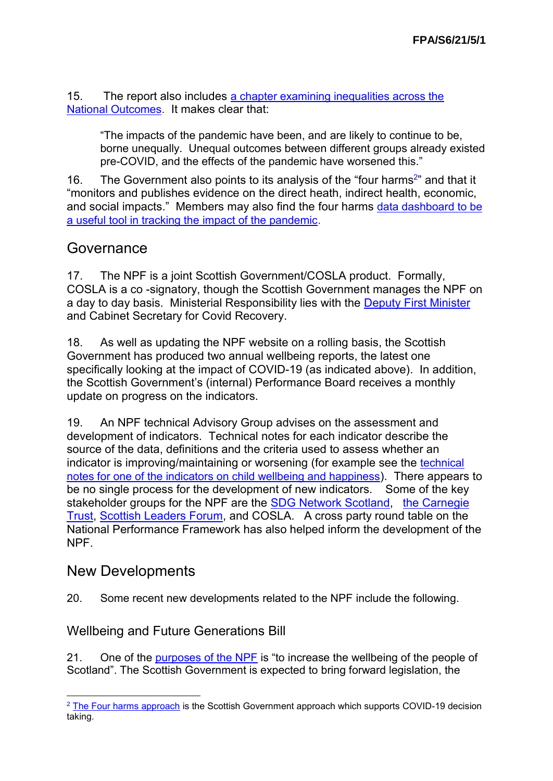15. The report also includes [a chapter examining inequalities across the](https://nationalperformance.gov.scot/scotlands-wellbeing-impact-covid-19-chapter-7-unequal-impacts-across-national-outcomes)  [National Outcomes](https://nationalperformance.gov.scot/scotlands-wellbeing-impact-covid-19-chapter-7-unequal-impacts-across-national-outcomes). It makes clear that:

"The impacts of the pandemic have been, and are likely to continue to be, borne unequally. Unequal outcomes between different groups already existed pre-COVID, and the effects of the pandemic have worsened this."

16. The Government also points to its analysis of the "four harms<sup>2</sup>" and that it "monitors and publishes evidence on the direct heath, indirect health, economic, and social impacts." Members may also find the four harms [data dashboard to be](https://data.gov.scot/coronavirus-covid-19/summary.html) [a useful tool in tracking the impact of the pandemic](https://data.gov.scot/coronavirus-covid-19/summary.html).

#### **Governance**

17. The NPF is a joint Scottish Government/COSLA product. Formally, COSLA is a co -signatory, though the Scottish Government manages the NPF on a day to day basis. Ministerial Responsibility lies with the [Deputy First Minister](https://www.gov.scot/about/who-runs-government/cabinet-and-ministers/deputy-first-minister/) and Cabinet Secretary for Covid Recovery.

18. As well as updating the NPF website on a rolling basis, the Scottish Government has produced two annual wellbeing reports, the latest one specifically looking at the impact of COVID-19 (as indicated above). In addition, the Scottish Government's (internal) Performance Board receives a monthly update on progress on the indicators.

19. An NPF technical Advisory Group advises on the assessment and development of indicators. Technical notes for each indicator describe the source of the data, definitions and the criteria used to assess whether an indicator is improving/maintaining or worsening (for example see the [technical](https://nationalperformance.gov.scot/child-wellbeing-and-happiness)  [notes for one of the indicators on child wellbeing and happiness](https://nationalperformance.gov.scot/child-wellbeing-and-happiness)). There appears to be no single process for the development of new indicators. Some of the key stakeholder groups for the NPF are the [SDG Network Scotland,](https://globalgoals.scot/) [the Carnegie](https://www.carnegieuktrust.org.uk/)  [Trust,](https://www.carnegieuktrust.org.uk/) [Scottish Leaders Forum,](https://scottishleadersforum.org/) and COSLA. A cross party round table on the National Performance Framework has also helped inform the development of the NPF.

## New Developments

20. Some recent new developments related to the NPF include the following.

#### Wellbeing and Future Generations Bill

21. One of the [purposes of the NPF](https://nationalperformance.gov.scot/what-it) is "to increase the wellbeing of the people of Scotland". The Scottish Government is expected to bring forward legislation, the

<sup>&</sup>lt;u>.</u>  $2$  [The Four harms approach](https://www.gov.scot/publications/covid-19-framework-decision-making-assessing-four-harms-crisis/pages/2/) is the Scottish Government approach which supports COVID-19 decision taking.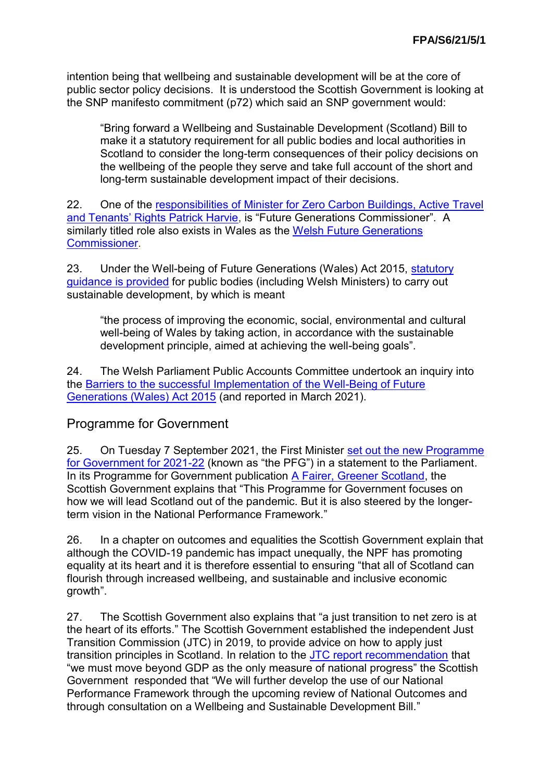intention being that wellbeing and sustainable development will be at the core of public sector policy decisions. It is understood the Scottish Government is looking at the SNP manifesto commitment (p72) which said an SNP government would:

"Bring forward a Wellbeing and Sustainable Development (Scotland) Bill to make it a statutory requirement for all public bodies and local authorities in Scotland to consider the long-term consequences of their policy decisions on the wellbeing of the people they serve and take full account of the short and long-term sustainable development impact of their decisions.

22. One of the [responsibilities of Minister for Zero Carbon Buildings, Active Travel](https://www.gov.scot/news/new-ministers-to-be-appointed/)  [and Tenants' Rights Patrick Harvie,](https://www.gov.scot/news/new-ministers-to-be-appointed/) is "Future Generations Commissioner". A similarly titled role also exists in Wales as the [Welsh Future Generations](https://www.futuregenerations.wales/)  [Commissioner.](https://www.futuregenerations.wales/)

23. Under the Well-being of Future Generations (Wales) Act 2015, [statutory](https://gov.wales/sites/default/files/publications/2019-02/spsf-1-core-guidance.PDF)  [guidance is provided](https://gov.wales/sites/default/files/publications/2019-02/spsf-1-core-guidance.PDF) for public bodies (including Welsh Ministers) to carry out sustainable development, by which is meant

"the process of improving the economic, social, environmental and cultural well-being of Wales by taking action, in accordance with the sustainable development principle, aimed at achieving the well-being goals".

24. The Welsh Parliament Public Accounts Committee undertook an inquiry into the [Barriers to the successful Implementation of the Well-Being of Future](https://eur03.safelinks.protection.outlook.com/?url=https%3A%2F%2Fbusiness.senedd.wales%2FmgIssueHistoryHome.aspx%3FIId%3D28311&data=04%7C01%7CSimon.Wakefield%40parliament.scot%7Ccfa632ecc7524719ed4708d9204a983c%7Cd603c99ccfdd4292926800db0d0cf081%7C1%7C1%7C637576327024211769%7CUnknown%7CTWFpbGZsb3d8eyJWIjoiMC4wLjAwMDAiLCJQIjoiV2luMzIiLCJBTiI6Ik1haWwiLCJXVCI6Mn0%3D%7C1000&sdata=TUEcL5dZaduHx%2Bg9OvnJUshQMSR2S8yS7dpYJ0BjKHI%3D&reserved=0)  [Generations \(Wales\) Act 2015](https://eur03.safelinks.protection.outlook.com/?url=https%3A%2F%2Fbusiness.senedd.wales%2FmgIssueHistoryHome.aspx%3FIId%3D28311&data=04%7C01%7CSimon.Wakefield%40parliament.scot%7Ccfa632ecc7524719ed4708d9204a983c%7Cd603c99ccfdd4292926800db0d0cf081%7C1%7C1%7C637576327024211769%7CUnknown%7CTWFpbGZsb3d8eyJWIjoiMC4wLjAwMDAiLCJQIjoiV2luMzIiLCJBTiI6Ik1haWwiLCJXVCI6Mn0%3D%7C1000&sdata=TUEcL5dZaduHx%2Bg9OvnJUshQMSR2S8yS7dpYJ0BjKHI%3D&reserved=0) (and reported in March 2021).

#### Programme for Government

25. On Tuesday 7 September 2021, the First Minister [set out the new Programme](http://archive2021.parliament.scot/parliamentarybusiness/report.aspx?r=13278&i=120433)  [for Government for 2021-22](http://archive2021.parliament.scot/parliamentarybusiness/report.aspx?r=13278&i=120433) (known as "the PFG") in a statement to the Parliament. In its Programme for Government publication [A Fairer, Greener Scotland,](https://www.gov.scot/publications/fairer-greener-scotland-programme-government-2021-22/pages/3/) the Scottish Government explains that "This Programme for Government focuses on how we will lead Scotland out of the pandemic. But it is also steered by the longerterm vision in the National Performance Framework."

26. In a chapter on outcomes and equalities the Scottish Government explain that although the COVID-19 pandemic has impact unequally, the NPF has promoting equality at its heart and it is therefore essential to ensuring "that all of Scotland can flourish through increased wellbeing, and sustainable and inclusive economic growth".

27. The Scottish Government also explains that "a just transition to net zero is at the heart of its efforts." The Scottish Government established the independent Just Transition Commission (JTC) in 2019, to provide advice on how to apply just transition principles in Scotland. In relation to the [JTC report recommendation](https://www.gov.scot/publications/transition-commission-national-mission-fairer-greener-scotland/) that "we must move beyond GDP as the only measure of national progress" the Scottish Government responded that "We will further develop the use of our National Performance Framework through the upcoming review of National Outcomes and through consultation on a Wellbeing and Sustainable Development Bill."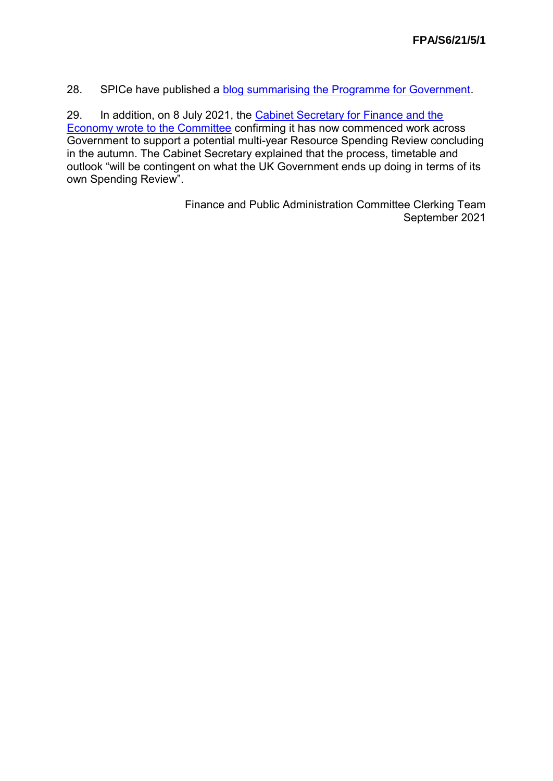28. SPICe have published a [blog summarising the Programme for Government.](https://spice-spotlight.scot/2021/09/08/programme-for-government-2021-22-a-fairer-greener-scotland/)

29. In addition, on 8 July 2021, the Cabinet Secretary for Finance and the [Economy wrote to the Committee](https://www.parliament.scot/chamber-and-committees/committees/current-and-previous-committees/session-6-finance-and-public-administration-committee/correspondence/2021/resource-spending-review-2021) confirming it has now commenced work across Government to support a potential multi-year Resource Spending Review concluding in the autumn. The Cabinet Secretary explained that the process, timetable and outlook "will be contingent on what the UK Government ends up doing in terms of its own Spending Review".

> Finance and Public Administration Committee Clerking Team September 2021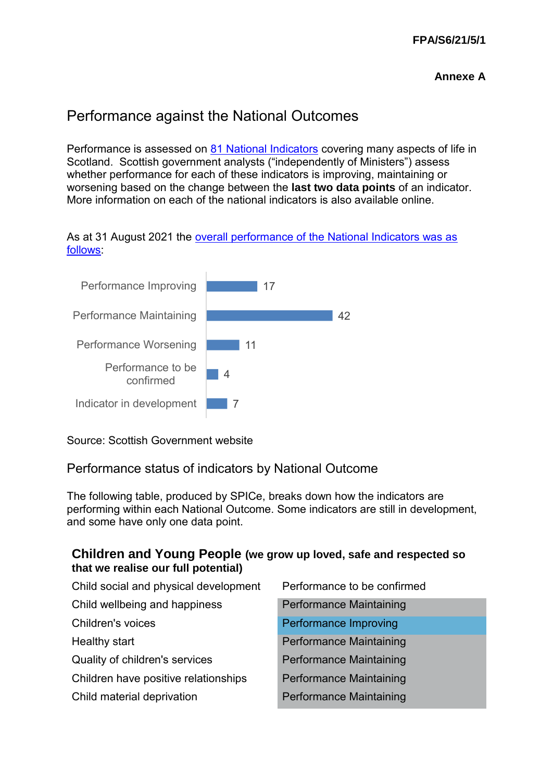## Performance against the National Outcomes

Performance is assessed on [81 National Indicators](https://nationalperformance.gov.scot/measuring-progress/national-indicator-performance) covering many aspects of life in Scotland. Scottish government analysts ("independently of Ministers") assess whether performance for each of these indicators is improving, maintaining or worsening based on the change between the **last two data points** of an indicator. More information on each of the national indicators is also available online.





Source: Scottish Government website

#### Performance status of indicators by National Outcome

The following table, produced by SPICe, breaks down how the indicators are performing within each National Outcome. Some indicators are still in development, and some have only one data point.

#### **Children and Young People (we grow up loved, safe and respected so that we realise our full potential)**

| Child social and physical development | Performance to be confirmed    |
|---------------------------------------|--------------------------------|
| Child wellbeing and happiness         | <b>Performance Maintaining</b> |
| Children's voices                     | Performance Improving          |
| Healthy start                         | <b>Performance Maintaining</b> |
| Quality of children's services        | <b>Performance Maintaining</b> |
| Children have positive relationships  | <b>Performance Maintaining</b> |
| Child material deprivation            | <b>Performance Maintaining</b> |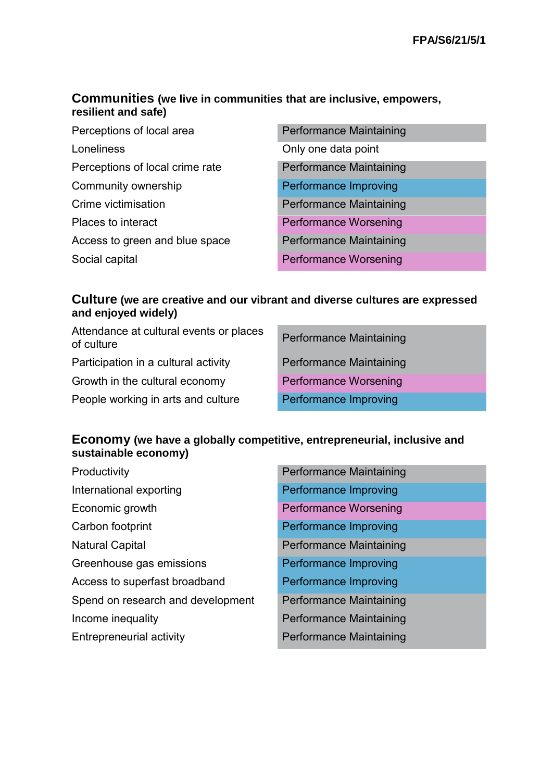#### **Communities (we live in communities that are inclusive, empowers, resilient and safe)**

Perceptions of local area **Performance Maintaining** Loneliness Conly one data point Perceptions of local crime rate Performance Maintaining Community ownership **Performance Improving** Crime victimisation **Performance Maintaining** Places to interact **Performance Worsening** Access to green and blue space Performance Maintaining Social capital **Performance Worsening** 

- 
- 
- 

#### **Culture (we are creative and our vibrant and diverse cultures are expressed and enjoyed widely)**

| Attendance at cultural events or places<br>of culture | <b>Performance Maintaining</b> |
|-------------------------------------------------------|--------------------------------|
| Participation in a cultural activity                  | <b>Performance Maintaining</b> |
| Growth in the cultural economy                        | <b>Performance Worsening</b>   |
| People working in arts and culture                    | Performance Improving          |

#### **Economy (we have a globally competitive, entrepreneurial, inclusive and sustainable economy)**

| Productivity                      | <b>Performance Maintaining</b> |
|-----------------------------------|--------------------------------|
| International exporting           | Performance Improving          |
| Economic growth                   | <b>Performance Worsening</b>   |
| Carbon footprint                  | Performance Improving          |
| <b>Natural Capital</b>            | <b>Performance Maintaining</b> |
| Greenhouse gas emissions          | Performance Improving          |
| Access to superfast broadband     | Performance Improving          |
| Spend on research and development | Performance Maintaining        |
| Income inequality                 | Performance Maintaining        |
| Entrepreneurial activity          | Performance Maintaining        |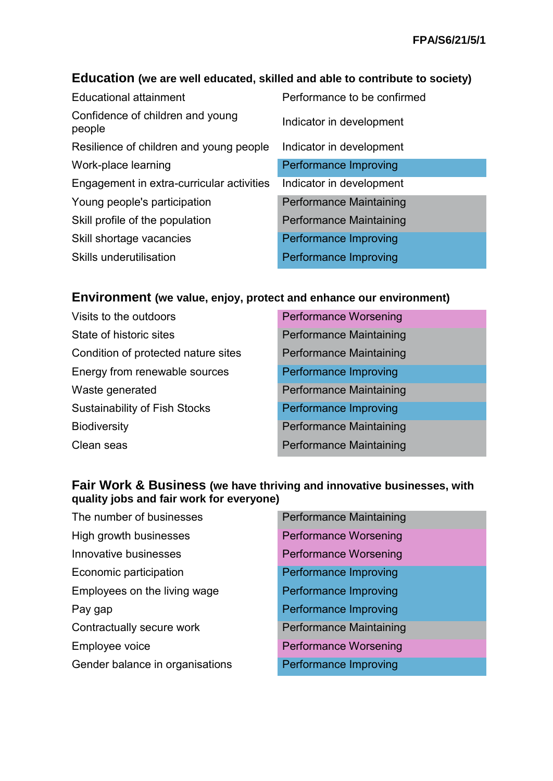## **Education (we are well educated, skilled and able to contribute to society)**

| <b>Educational attainment</b>              | Performance to be confirmed |
|--------------------------------------------|-----------------------------|
| Confidence of children and young<br>people | Indicator in development    |
| Resilience of children and young people    | Indicator in development    |
| Work-place learning                        | Performance Improving       |
| Engagement in extra-curricular activities  | Indicator in development    |
| Young people's participation               | Performance Maintaining     |
| Skill profile of the population            | Performance Maintaining     |
| Skill shortage vacancies                   | Performance Improving       |
| <b>Skills underutilisation</b>             | Performance Improving       |

#### **Environment (we value, enjoy, protect and enhance our environment)**

| <b>Performance Worsening</b>   |
|--------------------------------|
| <b>Performance Maintaining</b> |
| <b>Performance Maintaining</b> |
| Performance Improving          |
| <b>Performance Maintaining</b> |
| Performance Improving          |
| <b>Performance Maintaining</b> |
| <b>Performance Maintaining</b> |
|                                |

#### **Fair Work & Business (we have thriving and innovative businesses, with quality jobs and fair work for everyone)**

| <b>Performance Maintaining</b> |
|--------------------------------|
| <b>Performance Worsening</b>   |
| <b>Performance Worsening</b>   |
| Performance Improving          |
| Performance Improving          |
| Performance Improving          |
| <b>Performance Maintaining</b> |
| <b>Performance Worsening</b>   |
| <b>Performance Improving</b>   |
|                                |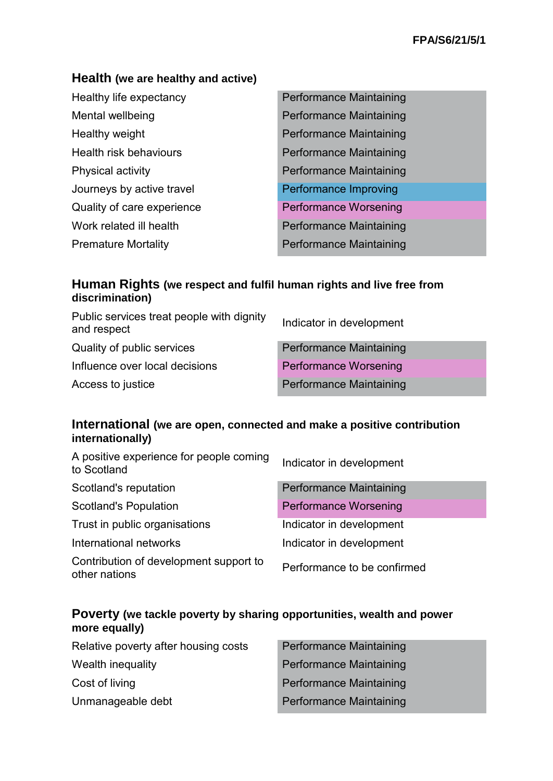#### **Health (we are healthy and active)**

| Healthy life expectancy    | <b>Performance Maintaining</b> |
|----------------------------|--------------------------------|
| Mental wellbeing           | Performance Maintaining        |
| Healthy weight             | <b>Performance Maintaining</b> |
| Health risk behaviours     | Performance Maintaining        |
| Physical activity          | Performance Maintaining        |
| Journeys by active travel  | Performance Improving          |
| Quality of care experience | <b>Performance Worsening</b>   |
| Work related ill health    | Performance Maintaining        |
| <b>Premature Mortality</b> | Performance Maintaining        |

#### **Human Rights (we respect and fulfil human rights and live free from discrimination)**

| Public services treat people with dignity<br>and respect | Indicator in development       |
|----------------------------------------------------------|--------------------------------|
| Quality of public services                               | <b>Performance Maintaining</b> |
| Influence over local decisions                           | <b>Performance Worsening</b>   |
| Access to justice                                        | <b>Performance Maintaining</b> |

#### **International (we are open, connected and make a positive contribution internationally)**

| Indicator in development       |
|--------------------------------|
| <b>Performance Maintaining</b> |
| <b>Performance Worsening</b>   |
| Indicator in development       |
| Indicator in development       |
| Performance to be confirmed    |
|                                |

#### **Poverty (we tackle poverty by sharing opportunities, wealth and power more equally)**

| Relative poverty after housing costs | <b>Performance Maintaining</b> |
|--------------------------------------|--------------------------------|
| Wealth inequality                    | <b>Performance Maintaining</b> |
| Cost of living                       | <b>Performance Maintaining</b> |
| Unmanageable debt                    | <b>Performance Maintaining</b> |